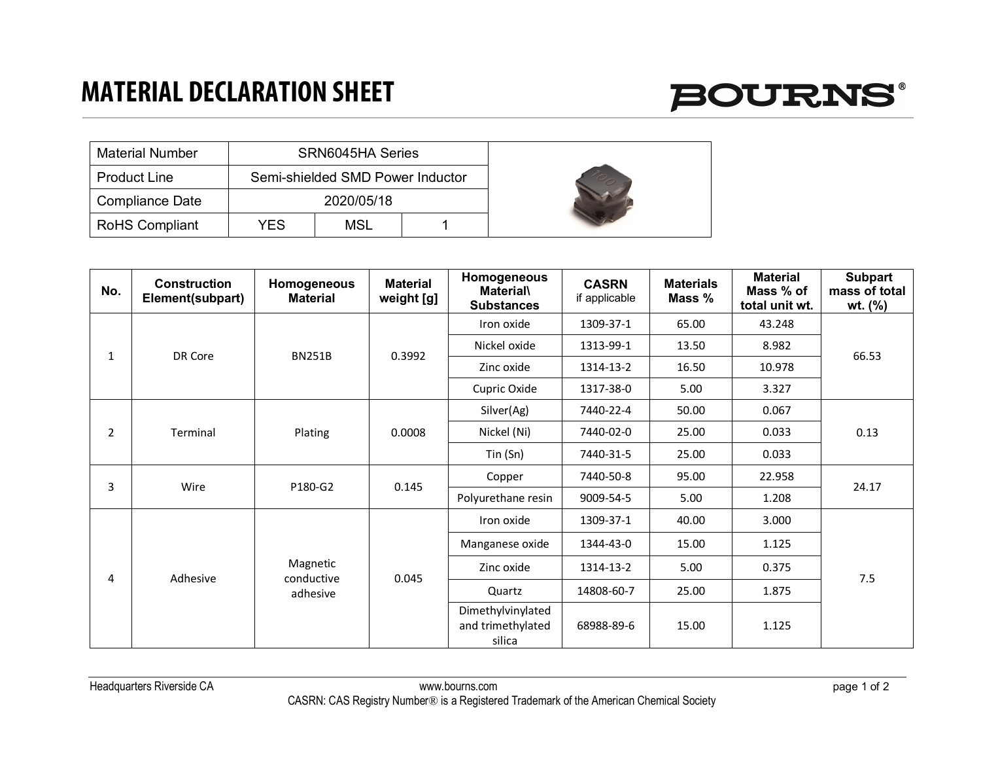### **MATERIAL DECLARATION SHEET**



| <b>Material Number</b> | SRN6045HA Series |                                  |  |  |
|------------------------|------------------|----------------------------------|--|--|
| <b>Product Line</b>    |                  | Semi-shielded SMD Power Inductor |  |  |
| Compliance Date        | 2020/05/18       |                                  |  |  |
| <b>RoHS Compliant</b>  | YES              | MSL                              |  |  |

| No.            | <b>Construction</b><br>Element(subpart) | Homogeneous<br><b>Material</b>     | <b>Material</b><br>weight [g] | Homogeneous<br><b>Material\</b><br><b>Substances</b> | <b>CASRN</b><br>if applicable | <b>Materials</b><br>Mass % | <b>Material</b><br>Mass % of<br>total unit wt. | Subpart<br>mass of total<br>wt. (%) |
|----------------|-----------------------------------------|------------------------------------|-------------------------------|------------------------------------------------------|-------------------------------|----------------------------|------------------------------------------------|-------------------------------------|
| $\mathbf{1}$   | DR Core                                 | <b>BN251B</b>                      | 0.3992                        | Iron oxide                                           | 1309-37-1                     | 65.00                      | 43.248                                         | 66.53                               |
|                |                                         |                                    |                               | Nickel oxide                                         | 1313-99-1                     | 13.50                      | 8.982                                          |                                     |
|                |                                         |                                    |                               | Zinc oxide                                           | 1314-13-2                     | 16.50                      | 10.978                                         |                                     |
|                |                                         |                                    |                               | Cupric Oxide                                         | 1317-38-0                     | 5.00                       | 3.327                                          |                                     |
| $\overline{2}$ | Terminal                                | Plating                            | 0.0008                        | Silver(Ag)                                           | 7440-22-4                     | 50.00                      | 0.067                                          | 0.13                                |
|                |                                         |                                    |                               | Nickel (Ni)                                          | 7440-02-0                     | 25.00                      | 0.033                                          |                                     |
|                |                                         |                                    |                               | Tin(Sn)                                              | 7440-31-5                     | 25.00                      | 0.033                                          |                                     |
| 3              | Wire                                    | P180-G2                            | 0.145                         | Copper                                               | 7440-50-8                     | 95.00                      | 22.958                                         | 24.17                               |
|                |                                         |                                    |                               | Polyurethane resin                                   | 9009-54-5                     | 5.00                       | 1.208                                          |                                     |
| 4              | Adhesive                                | Magnetic<br>conductive<br>adhesive | 0.045                         | Iron oxide                                           | 1309-37-1                     | 40.00                      | 3.000                                          | 7.5                                 |
|                |                                         |                                    |                               | Manganese oxide                                      | 1344-43-0                     | 15.00                      | 1.125                                          |                                     |
|                |                                         |                                    |                               | Zinc oxide                                           | 1314-13-2                     | 5.00                       | 0.375                                          |                                     |
|                |                                         |                                    |                               | Quartz                                               | 14808-60-7                    | 25.00                      | 1.875                                          |                                     |
|                |                                         |                                    |                               | Dimethylvinylated<br>and trimethylated<br>silica     | 68988-89-6                    | 15.00                      | 1.125                                          |                                     |